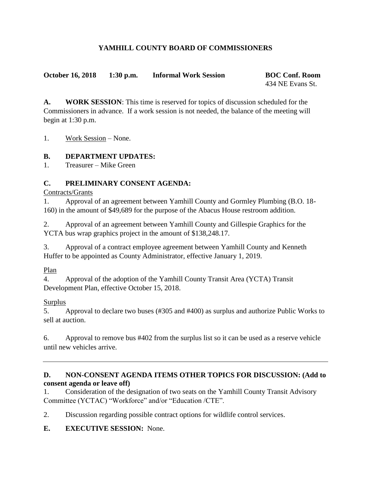## **YAMHILL COUNTY BOARD OF COMMISSIONERS**

**October 16, 2018 1:30 p.m. Informal Work Session BOC Conf. Room**

434 NE Evans St.

**A. WORK SESSION**: This time is reserved for topics of discussion scheduled for the Commissioners in advance. If a work session is not needed, the balance of the meeting will begin at 1:30 p.m.

1. Work Session – None.

## **B. DEPARTMENT UPDATES:**

1. Treasurer – Mike Green

## **C. PRELIMINARY CONSENT AGENDA:**

Contracts/Grants

1. Approval of an agreement between Yamhill County and Gormley Plumbing (B.O. 18- 160) in the amount of \$49,689 for the purpose of the Abacus House restroom addition.

2. Approval of an agreement between Yamhill County and Gillespie Graphics for the YCTA bus wrap graphics project in the amount of \$138,248.17.

3. Approval of a contract employee agreement between Yamhill County and Kenneth Huffer to be appointed as County Administrator, effective January 1, 2019.

Plan

4. Approval of the adoption of the Yamhill County Transit Area (YCTA) Transit Development Plan, effective October 15, 2018.

Surplus

5. Approval to declare two buses (#305 and #400) as surplus and authorize Public Works to sell at auction.

6. Approval to remove bus #402 from the surplus list so it can be used as a reserve vehicle until new vehicles arrive.

#### **D. NON-CONSENT AGENDA ITEMS OTHER TOPICS FOR DISCUSSION: (Add to consent agenda or leave off)**

1. Consideration of the designation of two seats on the Yamhill County Transit Advisory Committee (YCTAC) "Workforce" and/or "Education /CTE".

2. Discussion regarding possible contract options for wildlife control services.

**E. EXECUTIVE SESSION:** None.